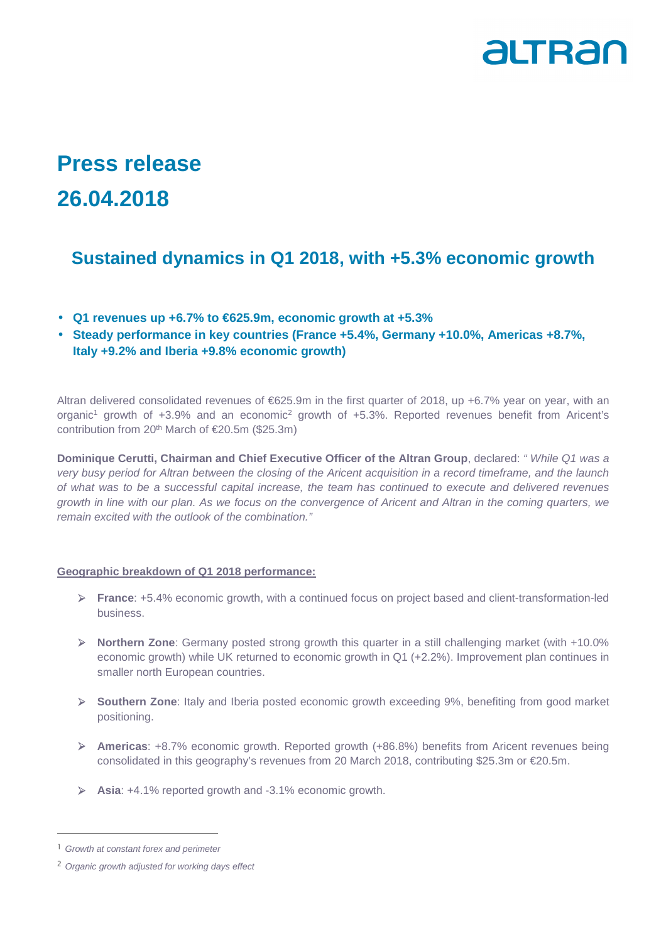

# **Press release 26.04.2018**

## **Sustained dynamics in Q1 2018, with +5.3% economic growth**

- **Q1 revenues up +6.7% to €625.9m, economic growth at +5.3%**
- **Steady performance in key countries (France +5.4%, Germany +10.0%, Americas +8.7%, Italy +9.2% and Iberia +9.8% economic growth)**

Altran delivered consolidated revenues of €625.9m in the first quarter of 2018, up +6.7% year on year, with an organic<sup>1</sup> growth of +3.9% and an economic<sup>2</sup> growth of +5.3%. Reported revenues benefit from Aricent's contribution from 20<sup>th</sup> March of  $\epsilon$ 20.5m (\$25.3m)

**Dominique Cerutti, Chairman and Chief Executive Officer of the Altran Group**, declared: " While Q1 was a very busy period for Altran between the closing of the Aricent acquisition in a record timeframe, and the launch of what was to be a successful capital increase, the team has continued to execute and delivered revenues growth in line with our plan. As we focus on the convergence of Aricent and Altran in the coming quarters, we remain excited with the outlook of the combination."

#### **Geographic breakdown of Q1 2018 performance:**

- **France**: +5.4% economic growth, with a continued focus on project based and client-transformation-led business.
- **Northern Zone**: Germany posted strong growth this quarter in a still challenging market (with +10.0% economic growth) while UK returned to economic growth in Q1 (+2.2%). Improvement plan continues in smaller north European countries.
- **Southern Zone**: Italy and Iberia posted economic growth exceeding 9%, benefiting from good market positioning.
- **Americas**: +8.7% economic growth. Reported growth (+86.8%) benefits from Aricent revenues being consolidated in this geography's revenues from 20 March 2018, contributing \$25.3m or €20.5m.
- **Asia**: +4.1% reported growth and -3.1% economic growth.

L

<sup>&</sup>lt;sup>1</sup> Growth at constant forex and perimeter

<sup>2</sup> Organic growth adjusted for working days effect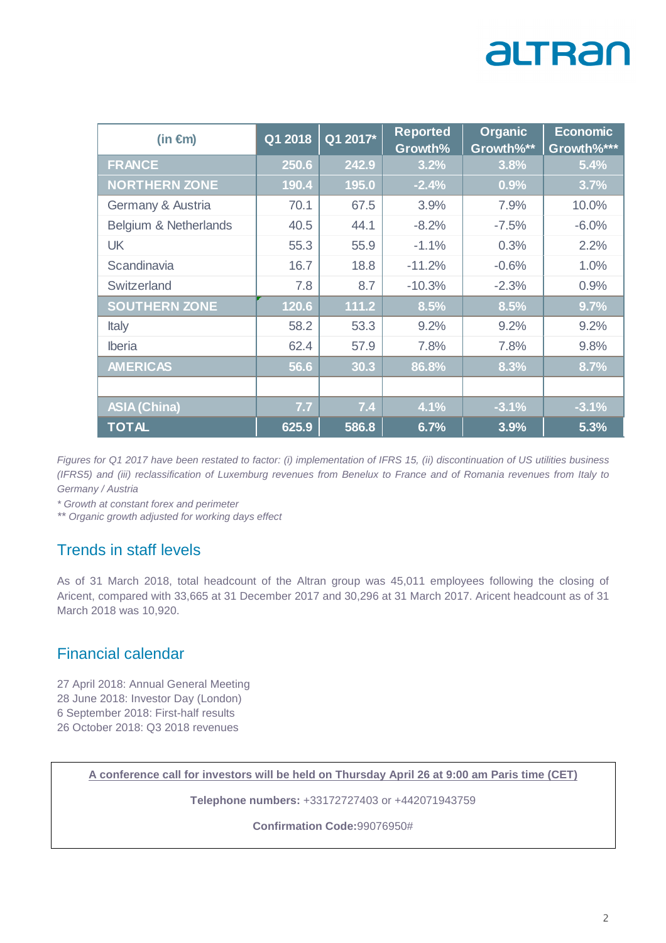# altran

| (in $\epsilon$ m)     | Q1 2018 | Q1 2017* | <b>Reported</b><br>Growth% | <b>Organic</b><br>Growth%** | <b>Economic</b><br>Growth%*** |
|-----------------------|---------|----------|----------------------------|-----------------------------|-------------------------------|
| <b>FRANCE</b>         | 250.6   | 242.9    | 3.2%                       | 3.8%                        | 5.4%                          |
| <b>NORTHERN ZONE</b>  | 190.4   | 195.0    | $-2.4%$                    | 0.9%                        | 3.7%                          |
| Germany & Austria     | 70.1    | 67.5     | 3.9%                       | 7.9%                        | 10.0%                         |
| Belgium & Netherlands | 40.5    | 44.1     | $-8.2%$                    | $-7.5%$                     | $-6.0%$                       |
| <b>UK</b>             | 55.3    | 55.9     | $-1.1%$                    | 0.3%                        | 2.2%                          |
| Scandinavia           | 16.7    | 18.8     | $-11.2%$                   | $-0.6%$                     | 1.0%                          |
| Switzerland           | 7.8     | 8.7      | $-10.3%$                   | $-2.3%$                     | 0.9%                          |
| <b>SOUTHERN ZONE</b>  | 120.6   | 111.2    | 8.5%                       | 8.5%                        | 9.7%                          |
| Italy                 | 58.2    | 53.3     | 9.2%                       | 9.2%                        | 9.2%                          |
| <b>Iberia</b>         | 62.4    | 57.9     | 7.8%                       | 7.8%                        | 9.8%                          |
| <b>AMERICAS</b>       | 56.6    | 30.3     | 86.8%                      | 8.3%                        | 8.7%                          |
|                       |         |          |                            |                             |                               |
| <b>ASIA (China)</b>   | 7.7     | 7.4      | 4.1%                       | $-3.1%$                     | $-3.1%$                       |
| <b>TOTAL</b>          | 625.9   | 586.8    | 6.7%                       | 3.9%                        | 5.3%                          |

Figures for Q1 2017 have been restated to factor: (i) implementation of IFRS 15, (ii) discontinuation of US utilities business (IFRS5) and (iii) reclassification of Luxemburg revenues from Benelux to France and of Romania revenues from Italy to Germany / Austria

\* Growth at constant forex and perimeter

\*\* Organic growth adjusted for working days effect

## Trends in staff levels

As of 31 March 2018, total headcount of the Altran group was 45,011 employees following the closing of Aricent, compared with 33,665 at 31 December 2017 and 30,296 at 31 March 2017. Aricent headcount as of 31 March 2018 was 10,920.

### Financial calendar

27 April 2018: Annual General Meeting 28 June 2018: Investor Day (London) 6 September 2018: First-half results 26 October 2018: Q3 2018 revenues

**A conference call for investors will be held on Thursday April 26 at 9:00 am Paris time (CET)** 

**Telephone numbers:** +33172727403 or +442071943759

**Confirmation Code:**99076950#